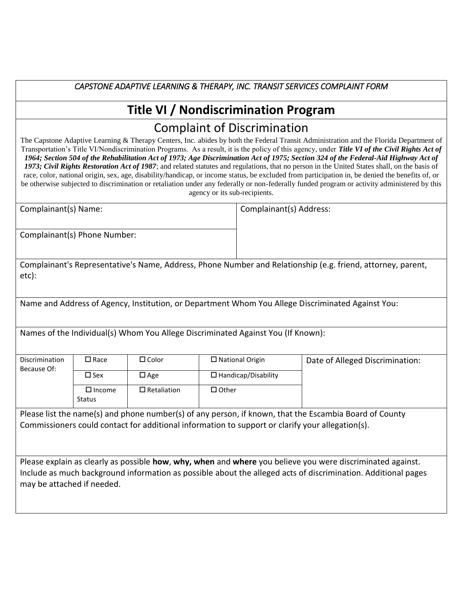## *CAPSTONE ADAPTIVE LEARNING & THERAPY, INC. TRANSIT SERVICES COMPLAINT FORM*

## **Title VI / Nondiscrimination Program** Complaint of Discrimination

The Capstone Adaptive Learning & Therapy Centers, Inc. abides by both the Federal Transit Administration and the Florida Department of Transportation's Title VI/Nondiscrimination Programs. As a result, it is the policy of this agency, under *Title VI of the Civil Rights Act of 1964; Section 504 of the Rehabilitation Act of 1973; Age Discrimination Act of 1975; Section 324 of the Federal-Aid Highway Act of 1973; Civil Rights Restoration Act of 1987*; and related statutes and regulations, that no person in the United States shall, on the basis of race, color, national origin, sex, age, disability/handicap, or income status, be excluded from participation in, be denied the benefits of, or be otherwise subjected to discrimination or retaliation under any federally or non-federally funded program or activity administered by this agency or its sub-recipients.

| Complainant(s) Name:         | Complainant(s) Address: |
|------------------------------|-------------------------|
| Complainant(s) Phone Number: |                         |
|                              |                         |

Complainant's Representative's Name, Address, Phone Number and Relationship (e.g. friend, attorney, parent, etc):

Name and Address of Agency, Institution, or Department Whom You Allege Discriminated Against You:

Names of the Individual(s) Whom You Allege Discriminated Against You (If Known):

| Discrimination<br>$\square$ Race<br>Because Of: |                                | $\square$ Color    | $\Box$ National Origin     | Date of Alleged Discrimination: |
|-------------------------------------------------|--------------------------------|--------------------|----------------------------|---------------------------------|
|                                                 | $\square$ Sex                  | $\square$ Age      | $\Box$ Handicap/Disability |                                 |
|                                                 | $\Box$ Income<br><b>Status</b> | $\Box$ Retaliation | $\Box$ Other               |                                 |

Please list the name(s) and phone number(s) of any person, if known, that the Escambia Board of County Commissioners could contact for additional information to support or clarify your allegation(s).

Please explain as clearly as possible **how**, **why, when** and **where** you believe you were discriminated against. Include as much background information as possible about the alleged acts of discrimination. Additional pages may be attached if needed.